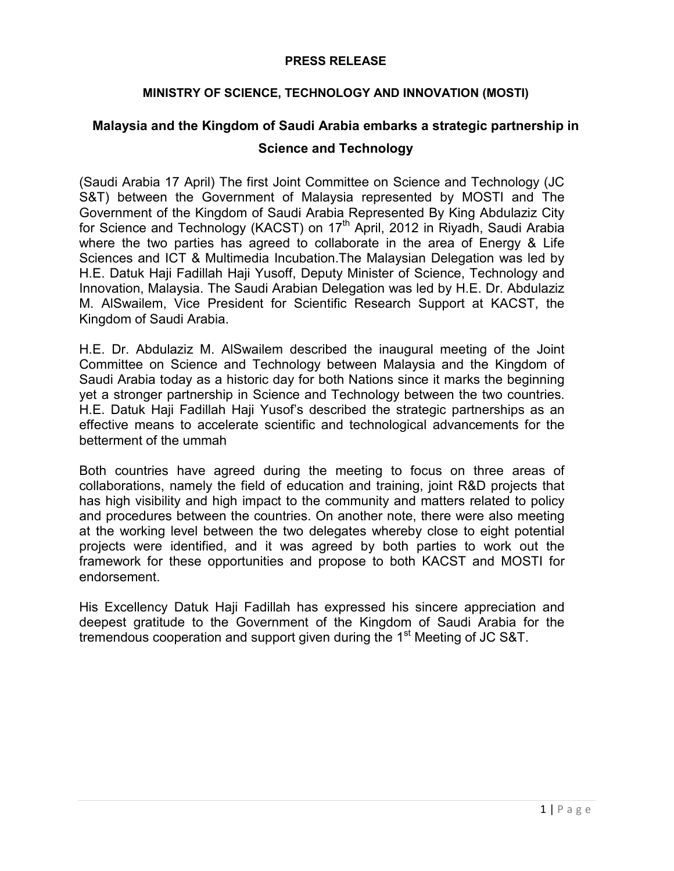## **PRESS RELEASE**

## **MINISTRY OF SCIENCE, TECHNOLOGY AND INNOVATION (MOSTI)**

## **Malaysia and the Kingdom of Saudi Arabia embarks a strategic partnership in Science and Technology**

(Saudi Arabia 17 April) The first Joint Committee on Science and Technology (JC S&T) between the Government of Malaysia represented by MOSTI and The Government of the Kingdom of Saudi Arabia Represented By King Abdulaziz City for Science and Technology (KACST) on  $17<sup>th</sup>$  April, 2012 in Riyadh, Saudi Arabia where the two parties has agreed to collaborate in the area of Energy & Life Sciences and ICT & Multimedia Incubation.The Malaysian Delegation was led by H.E. Datuk Haji Fadillah Haji Yusoff, Deputy Minister of Science, Technology and Innovation, Malaysia. The Saudi Arabian Delegation was led by H.E. Dr. Abdulaziz M. AlSwailem, Vice President for Scientific Research Support at KACST, the Kingdom of Saudi Arabia.

H.E. Dr. Abdulaziz M. AlSwailem described the inaugural meeting of the Joint Committee on Science and Technology between Malaysia and the Kingdom of Saudi Arabia today as a historic day for both Nations since it marks the beginning yet a stronger partnership in Science and Technology between the two countries. H.E. Datuk Haji Fadillah Haji Yusof's described the strategic partnerships as an effective means to accelerate scientific and technological advancements for the betterment of the ummah

Both countries have agreed during the meeting to focus on three areas of collaborations, namely the field of education and training, joint R&D projects that has high visibility and high impact to the community and matters related to policy and procedures between the countries. On another note, there were also meeting at the working level between the two delegates whereby close to eight potential projects were identified, and it was agreed by both parties to work out the framework for these opportunities and propose to both KACST and MOSTI for endorsement.

His Excellency Datuk Haji Fadillah has expressed his sincere appreciation and deepest gratitude to the Government of the Kingdom of Saudi Arabia for the tremendous cooperation and support given during the 1<sup>st</sup> Meeting of JC S&T.